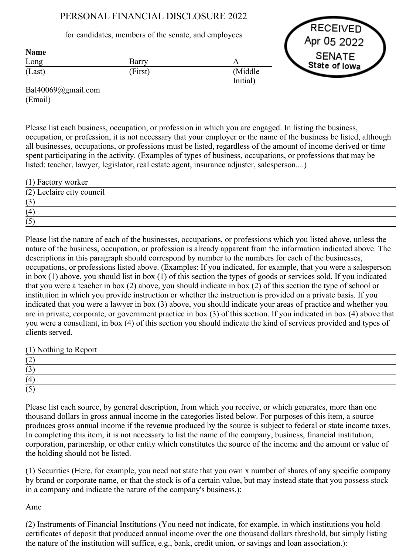# PERSONAL FINANCIAL DISCLOSURE 2022

## for candidates, members of the senate, and employees

Barry (First) A (Middle Initial)



Bal40069@gmail.com (Email)

Long (Last)

Name

Please list each business, occupation, or profession in which you are engaged. In listing the business, occupation, or profession, it is not necessary that your employer or the name of the business be listed, although all businesses, occupations, or professions must be listed, regardless of the amount of income derived or time spent participating in the activity. (Examples of types of business, occupations, or professions that may be listed: teacher, lawyer, legislator, real estate agent, insurance adjuster, salesperson....)

| (1) Factory worker        |  |
|---------------------------|--|
| (2) Leclaire city council |  |
| いし                        |  |
| (4)                       |  |
|                           |  |

Please list the nature of each of the businesses, occupations, or professions which you listed above, unless the nature of the business, occupation, or profession is already apparent from the information indicated above. The descriptions in this paragraph should correspond by number to the numbers for each of the businesses, occupations, or professions listed above. (Examples: If you indicated, for example, that you were a salesperson in box (1) above, you should list in box (1) of this section the types of goods or services sold. If you indicated that you were a teacher in box (2) above, you should indicate in box (2) of this section the type of school or institution in which you provide instruction or whether the instruction is provided on a private basis. If you indicated that you were a lawyer in box (3) above, you should indicate your areas of practice and whether you are in private, corporate, or government practice in box (3) of this section. If you indicated in box (4) above that you were a consultant, in box (4) of this section you should indicate the kind of services provided and types of clients served.

(1) Nothing to Report

| (4) |  |  |
|-----|--|--|
|     |  |  |

Please list each source, by general description, from which you receive, or which generates, more than one thousand dollars in gross annual income in the categories listed below. For purposes of this item, a source produces gross annual income if the revenue produced by the source is subject to federal or state income taxes. In completing this item, it is not necessary to list the name of the company, business, financial institution, corporation, partnership, or other entity which constitutes the source of the income and the amount or value of the holding should not be listed.

(1) Securities (Here, for example, you need not state that you own x number of shares of any specific company by brand or corporate name, or that the stock is of a certain value, but may instead state that you possess stock in a company and indicate the nature of the company's business.):

Amc

(2) Instruments of Financial Institutions (You need not indicate, for example, in which institutions you hold certificates of deposit that produced annual income over the one thousand dollars threshold, but simply listing the nature of the institution will suffice, e.g., bank, credit union, or savings and loan association.):